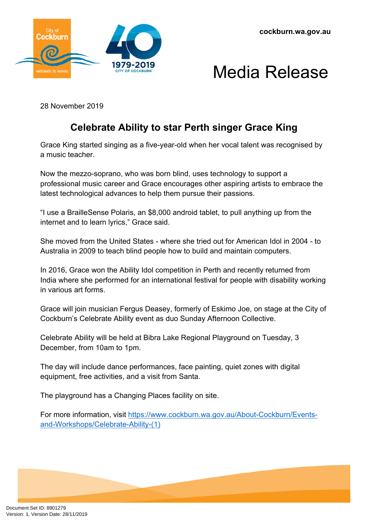



28 November 2019

## **Celebrate Ability to star Perth singer Grace King**

Grace King started singing as a five-year-old when her vocal talent was recognised by a music teacher.

Now the mezzo-soprano, who was born blind, uses technology to support a professional music career and Grace encourages other aspiring artists to embrace the latest technological advances to help them pursue their passions.

"I use a BrailleSense Polaris, an \$8,000 android tablet, to pull anything up from the internet and to learn lyrics," Grace said.

She moved from the United States - where she tried out for American Idol in 2004 - to Australia in 2009 to teach blind people how to build and maintain computers.

In 2016, Grace won the Ability Idol competition in Perth and recently returned from India where she performed for an international festival for people with disability working in various art forms.

Grace will join musician Fergus Deasey, formerly of Eskimo Joe, on stage at the City of Cockburn's Celebrate Ability event as duo Sunday Afternoon Collective.

Celebrate Ability will be held at Bibra Lake Regional Playground on Tuesday, 3 December, from 10am to 1pm.

The day will include dance performances, face painting, quiet zones with digital equipment, free activities, and a visit from Santa.

The playground has a Changing Places facility on site.

For more information, visit [https://www.cockburn.wa.gov.au/About-Cockburn/Events](https://www.cockburn.wa.gov.au/About-Cockburn/Events-and-Workshops/Celebrate-Ability-(1))[and-Workshops/Celebrate-Ability-\(1\)](https://www.cockburn.wa.gov.au/About-Cockburn/Events-and-Workshops/Celebrate-Ability-(1))